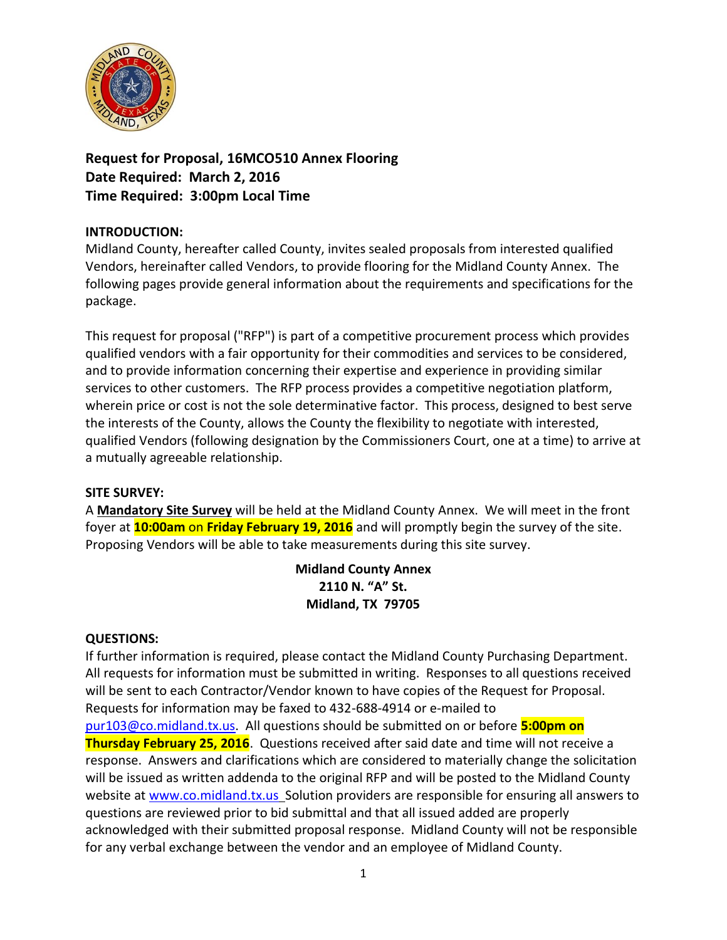

**Request for Proposal, 16MCO510 Annex Flooring Date Required: March 2, 2016 Time Required: 3:00pm Local Time**

## **INTRODUCTION:**

Midland County, hereafter called County, invites sealed proposals from interested qualified Vendors, hereinafter called Vendors, to provide flooring for the Midland County Annex. The following pages provide general information about the requirements and specifications for the package.

This request for proposal ("RFP") is part of a competitive procurement process which provides qualified vendors with a fair opportunity for their commodities and services to be considered, and to provide information concerning their expertise and experience in providing similar services to other customers. The RFP process provides a competitive negotiation platform, wherein price or cost is not the sole determinative factor. This process, designed to best serve the interests of the County, allows the County the flexibility to negotiate with interested, qualified Vendors (following designation by the Commissioners Court, one at a time) to arrive at a mutually agreeable relationship.

### **SITE SURVEY:**

A **Mandatory Site Survey** will be held at the Midland County Annex. We will meet in the front foyer at **10:00am** on **Friday February 19, 2016** and will promptly begin the survey of the site. Proposing Vendors will be able to take measurements during this site survey.

## **Midland County Annex 2110 N. "A" St. Midland, TX 79705**

### **QUESTIONS:**

If further information is required, please contact the Midland County Purchasing Department. All requests for information must be submitted in writing. Responses to all questions received will be sent to each Contractor/Vendor known to have copies of the Request for Proposal. Requests for information may be faxed to 432-688-4914 or e-mailed to [pur103@co.midland.tx.us.](mailto:pur103@co.midland.tx.us) All questions should be submitted on or before **5:00pm on Thursday February 25, 2016**. Questions received after said date and time will not receive a response. Answers and clarifications which are considered to materially change the solicitation will be issued as written addenda to the original RFP and will be posted to the Midland County website at [www.co.midland.tx.us](http://www.co.midland.tx.us/) Solution providers are responsible for ensuring all answers to questions are reviewed prior to bid submittal and that all issued added are properly acknowledged with their submitted proposal response. Midland County will not be responsible for any verbal exchange between the vendor and an employee of Midland County.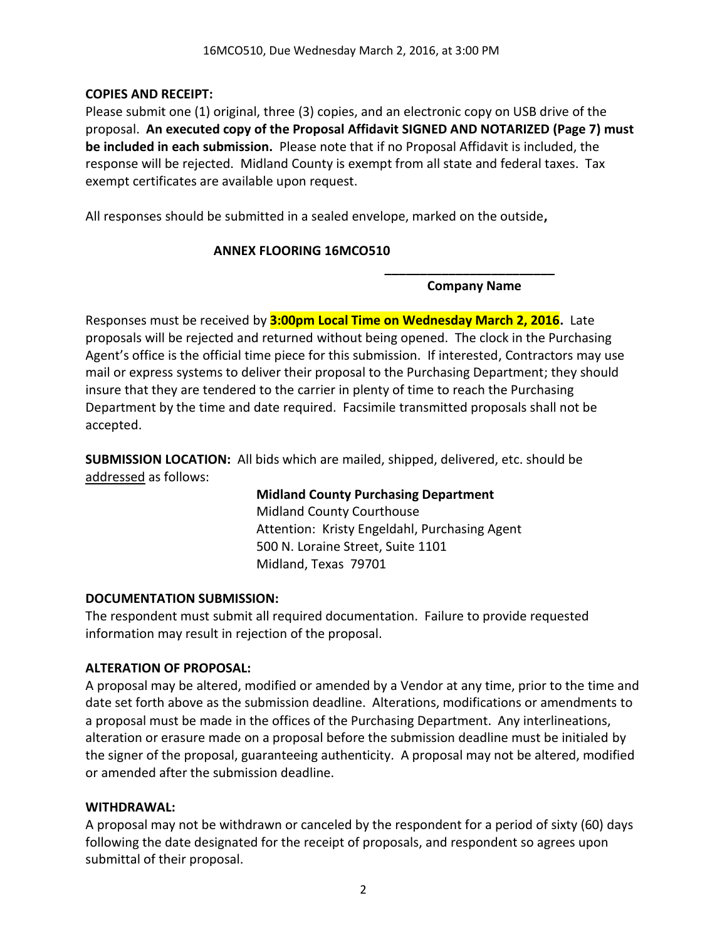### **COPIES AND RECEIPT:**

Please submit one (1) original, three (3) copies, and an electronic copy on USB drive of the proposal. **An executed copy of the Proposal Affidavit SIGNED AND NOTARIZED (Page 7) must be included in each submission.** Please note that if no Proposal Affidavit is included, the response will be rejected. Midland County is exempt from all state and federal taxes. Tax exempt certificates are available upon request.

All responses should be submitted in a sealed envelope, marked on the outside**,** 

### **ANNEX FLOORING 16MCO510**

**\_\_\_\_\_\_\_\_\_\_\_\_\_\_\_\_\_\_\_\_\_\_\_\_ Company Name**

Responses must be received by **3:00pm Local Time on Wednesday March 2, 2016.** Late proposals will be rejected and returned without being opened. The clock in the Purchasing Agent's office is the official time piece for this submission. If interested, Contractors may use mail or express systems to deliver their proposal to the Purchasing Department; they should insure that they are tendered to the carrier in plenty of time to reach the Purchasing Department by the time and date required. Facsimile transmitted proposals shall not be accepted.

**SUBMISSION LOCATION:** All bids which are mailed, shipped, delivered, etc. should be addressed as follows:

> **Midland County Purchasing Department** Midland County Courthouse Attention: Kristy Engeldahl, Purchasing Agent 500 N. Loraine Street, Suite 1101 Midland, Texas 79701

### **DOCUMENTATION SUBMISSION:**

The respondent must submit all required documentation. Failure to provide requested information may result in rejection of the proposal.

### **ALTERATION OF PROPOSAL:**

A proposal may be altered, modified or amended by a Vendor at any time, prior to the time and date set forth above as the submission deadline. Alterations, modifications or amendments to a proposal must be made in the offices of the Purchasing Department. Any interlineations, alteration or erasure made on a proposal before the submission deadline must be initialed by the signer of the proposal, guaranteeing authenticity. A proposal may not be altered, modified or amended after the submission deadline.

### **WITHDRAWAL:**

A proposal may not be withdrawn or canceled by the respondent for a period of sixty (60) days following the date designated for the receipt of proposals, and respondent so agrees upon submittal of their proposal.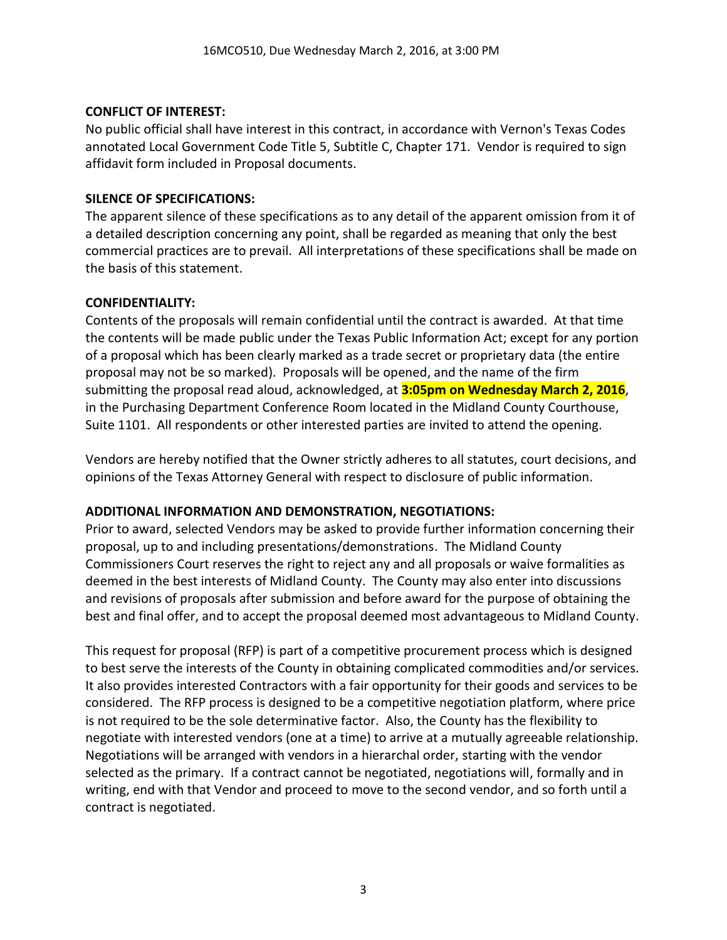### **CONFLICT OF INTEREST:**

No public official shall have interest in this contract, in accordance with Vernon's Texas Codes annotated Local Government Code Title 5, Subtitle C, Chapter 171. Vendor is required to sign affidavit form included in Proposal documents.

## **SILENCE OF SPECIFICATIONS:**

The apparent silence of these specifications as to any detail of the apparent omission from it of a detailed description concerning any point, shall be regarded as meaning that only the best commercial practices are to prevail. All interpretations of these specifications shall be made on the basis of this statement.

### **CONFIDENTIALITY:**

Contents of the proposals will remain confidential until the contract is awarded. At that time the contents will be made public under the Texas Public Information Act; except for any portion of a proposal which has been clearly marked as a trade secret or proprietary data (the entire proposal may not be so marked). Proposals will be opened, and the name of the firm submitting the proposal read aloud, acknowledged, at **3:05pm on Wednesday March 2, 2016**, in the Purchasing Department Conference Room located in the Midland County Courthouse, Suite 1101. All respondents or other interested parties are invited to attend the opening.

Vendors are hereby notified that the Owner strictly adheres to all statutes, court decisions, and opinions of the Texas Attorney General with respect to disclosure of public information.

## **ADDITIONAL INFORMATION AND DEMONSTRATION, NEGOTIATIONS:**

Prior to award, selected Vendors may be asked to provide further information concerning their proposal, up to and including presentations/demonstrations. The Midland County Commissioners Court reserves the right to reject any and all proposals or waive formalities as deemed in the best interests of Midland County. The County may also enter into discussions and revisions of proposals after submission and before award for the purpose of obtaining the best and final offer, and to accept the proposal deemed most advantageous to Midland County.

This request for proposal (RFP) is part of a competitive procurement process which is designed to best serve the interests of the County in obtaining complicated commodities and/or services. It also provides interested Contractors with a fair opportunity for their goods and services to be considered. The RFP process is designed to be a competitive negotiation platform, where price is not required to be the sole determinative factor. Also, the County has the flexibility to negotiate with interested vendors (one at a time) to arrive at a mutually agreeable relationship. Negotiations will be arranged with vendors in a hierarchal order, starting with the vendor selected as the primary. If a contract cannot be negotiated, negotiations will, formally and in writing, end with that Vendor and proceed to move to the second vendor, and so forth until a contract is negotiated.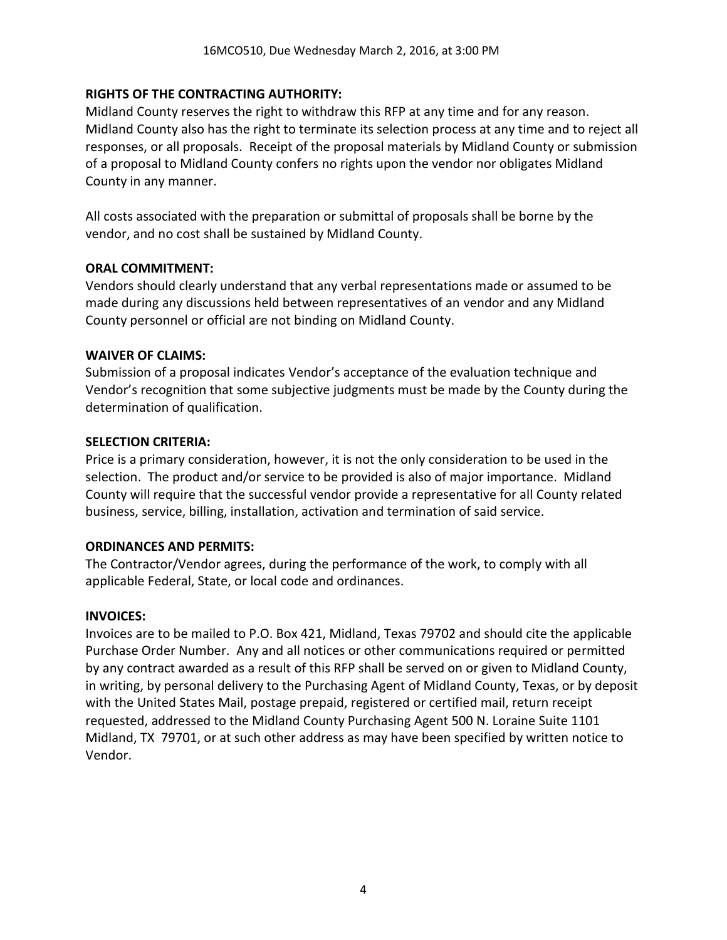### **RIGHTS OF THE CONTRACTING AUTHORITY:**

Midland County reserves the right to withdraw this RFP at any time and for any reason. Midland County also has the right to terminate its selection process at any time and to reject all responses, or all proposals. Receipt of the proposal materials by Midland County or submission of a proposal to Midland County confers no rights upon the vendor nor obligates Midland County in any manner.

All costs associated with the preparation or submittal of proposals shall be borne by the vendor, and no cost shall be sustained by Midland County.

### **ORAL COMMITMENT:**

Vendors should clearly understand that any verbal representations made or assumed to be made during any discussions held between representatives of an vendor and any Midland County personnel or official are not binding on Midland County.

### **WAIVER OF CLAIMS:**

Submission of a proposal indicates Vendor's acceptance of the evaluation technique and Vendor's recognition that some subjective judgments must be made by the County during the determination of qualification.

#### **SELECTION CRITERIA:**

Price is a primary consideration, however, it is not the only consideration to be used in the selection. The product and/or service to be provided is also of major importance. Midland County will require that the successful vendor provide a representative for all County related business, service, billing, installation, activation and termination of said service.

### **ORDINANCES AND PERMITS:**

The Contractor/Vendor agrees, during the performance of the work, to comply with all applicable Federal, State, or local code and ordinances.

### **INVOICES:**

Invoices are to be mailed to P.O. Box 421, Midland, Texas 79702 and should cite the applicable Purchase Order Number. Any and all notices or other communications required or permitted by any contract awarded as a result of this RFP shall be served on or given to Midland County, in writing, by personal delivery to the Purchasing Agent of Midland County, Texas, or by deposit with the United States Mail, postage prepaid, registered or certified mail, return receipt requested, addressed to the Midland County Purchasing Agent 500 N. Loraine Suite 1101 Midland, TX 79701, or at such other address as may have been specified by written notice to Vendor.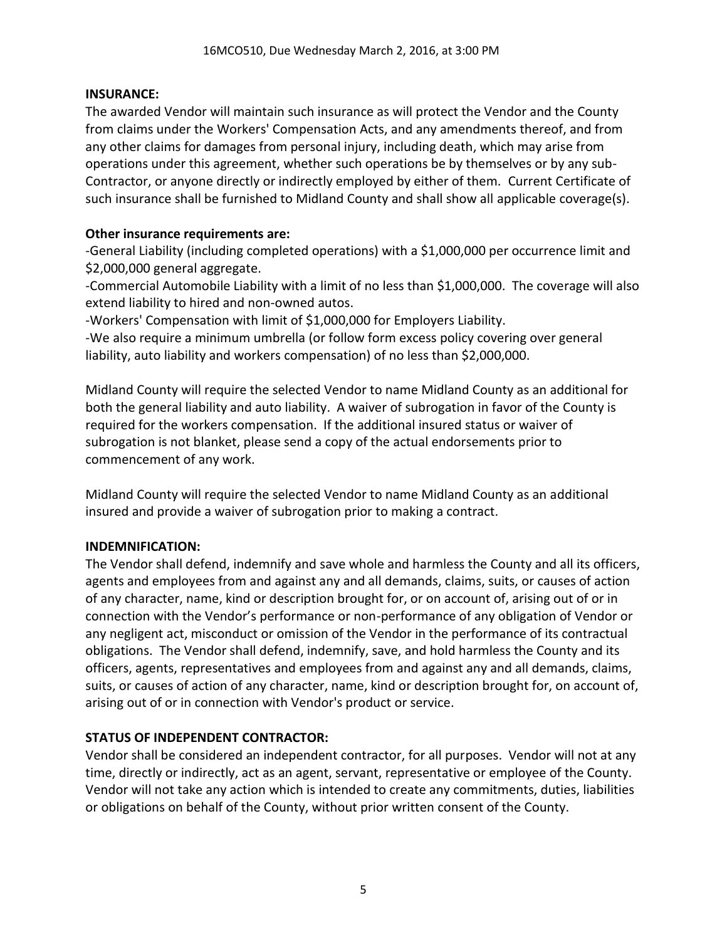### **INSURANCE:**

The awarded Vendor will maintain such insurance as will protect the Vendor and the County from claims under the Workers' Compensation Acts, and any amendments thereof, and from any other claims for damages from personal injury, including death, which may arise from operations under this agreement, whether such operations be by themselves or by any sub-Contractor, or anyone directly or indirectly employed by either of them. Current Certificate of such insurance shall be furnished to Midland County and shall show all applicable coverage(s).

### **Other insurance requirements are:**

-General Liability (including completed operations) with a \$1,000,000 per occurrence limit and \$2,000,000 general aggregate.

-Commercial Automobile Liability with a limit of no less than \$1,000,000. The coverage will also extend liability to hired and non-owned autos.

-Workers' Compensation with limit of \$1,000,000 for Employers Liability.

-We also require a minimum umbrella (or follow form excess policy covering over general liability, auto liability and workers compensation) of no less than \$2,000,000.

Midland County will require the selected Vendor to name Midland County as an additional for both the general liability and auto liability. A waiver of subrogation in favor of the County is required for the workers compensation. If the additional insured status or waiver of subrogation is not blanket, please send a copy of the actual endorsements prior to commencement of any work.

Midland County will require the selected Vendor to name Midland County as an additional insured and provide a waiver of subrogation prior to making a contract.

## **INDEMNIFICATION:**

The Vendor shall defend, indemnify and save whole and harmless the County and all its officers, agents and employees from and against any and all demands, claims, suits, or causes of action of any character, name, kind or description brought for, or on account of, arising out of or in connection with the Vendor's performance or non-performance of any obligation of Vendor or any negligent act, misconduct or omission of the Vendor in the performance of its contractual obligations. The Vendor shall defend, indemnify, save, and hold harmless the County and its officers, agents, representatives and employees from and against any and all demands, claims, suits, or causes of action of any character, name, kind or description brought for, on account of, arising out of or in connection with Vendor's product or service.

## **STATUS OF INDEPENDENT CONTRACTOR:**

Vendor shall be considered an independent contractor, for all purposes. Vendor will not at any time, directly or indirectly, act as an agent, servant, representative or employee of the County. Vendor will not take any action which is intended to create any commitments, duties, liabilities or obligations on behalf of the County, without prior written consent of the County.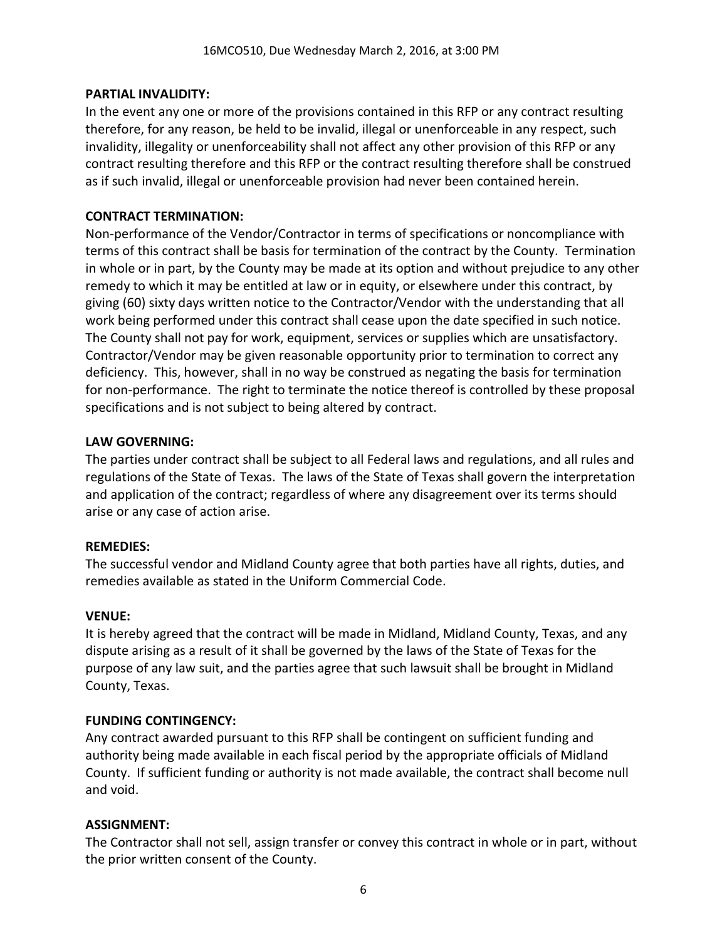### **PARTIAL INVALIDITY:**

In the event any one or more of the provisions contained in this RFP or any contract resulting therefore, for any reason, be held to be invalid, illegal or unenforceable in any respect, such invalidity, illegality or unenforceability shall not affect any other provision of this RFP or any contract resulting therefore and this RFP or the contract resulting therefore shall be construed as if such invalid, illegal or unenforceable provision had never been contained herein.

### **CONTRACT TERMINATION:**

Non-performance of the Vendor/Contractor in terms of specifications or noncompliance with terms of this contract shall be basis for termination of the contract by the County. Termination in whole or in part, by the County may be made at its option and without prejudice to any other remedy to which it may be entitled at law or in equity, or elsewhere under this contract, by giving (60) sixty days written notice to the Contractor/Vendor with the understanding that all work being performed under this contract shall cease upon the date specified in such notice. The County shall not pay for work, equipment, services or supplies which are unsatisfactory. Contractor/Vendor may be given reasonable opportunity prior to termination to correct any deficiency. This, however, shall in no way be construed as negating the basis for termination for non-performance. The right to terminate the notice thereof is controlled by these proposal specifications and is not subject to being altered by contract.

### **LAW GOVERNING:**

The parties under contract shall be subject to all Federal laws and regulations, and all rules and regulations of the State of Texas. The laws of the State of Texas shall govern the interpretation and application of the contract; regardless of where any disagreement over its terms should arise or any case of action arise.

### **REMEDIES:**

The successful vendor and Midland County agree that both parties have all rights, duties, and remedies available as stated in the Uniform Commercial Code.

## **VENUE:**

It is hereby agreed that the contract will be made in Midland, Midland County, Texas, and any dispute arising as a result of it shall be governed by the laws of the State of Texas for the purpose of any law suit, and the parties agree that such lawsuit shall be brought in Midland County, Texas.

## **FUNDING CONTINGENCY:**

Any contract awarded pursuant to this RFP shall be contingent on sufficient funding and authority being made available in each fiscal period by the appropriate officials of Midland County. If sufficient funding or authority is not made available, the contract shall become null and void.

## **ASSIGNMENT:**

The Contractor shall not sell, assign transfer or convey this contract in whole or in part, without the prior written consent of the County.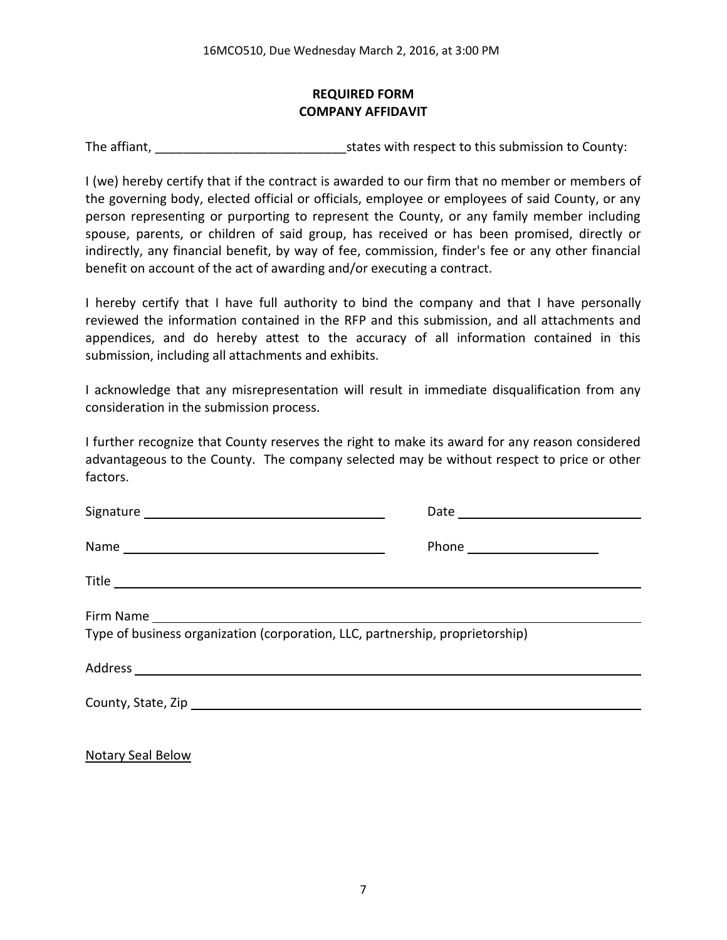## **REQUIRED FORM COMPANY AFFIDAVIT**

The affiant, The affiant,  $\frac{1}{2}$  is tates with respect to this submission to County:

I (we) hereby certify that if the contract is awarded to our firm that no member or members of the governing body, elected official or officials, employee or employees of said County, or any person representing or purporting to represent the County, or any family member including spouse, parents, or children of said group, has received or has been promised, directly or indirectly, any financial benefit, by way of fee, commission, finder's fee or any other financial benefit on account of the act of awarding and/or executing a contract.

I hereby certify that I have full authority to bind the company and that I have personally reviewed the information contained in the RFP and this submission, and all attachments and appendices, and do hereby attest to the accuracy of all information contained in this submission, including all attachments and exhibits.

I acknowledge that any misrepresentation will result in immediate disqualification from any consideration in the submission process.

I further recognize that County reserves the right to make its award for any reason considered advantageous to the County. The company selected may be without respect to price or other factors.

| Type of business organization (corporation, LLC, partnership, proprietorship) |  |  |  |
|-------------------------------------------------------------------------------|--|--|--|
|                                                                               |  |  |  |
|                                                                               |  |  |  |
|                                                                               |  |  |  |

Notary Seal Below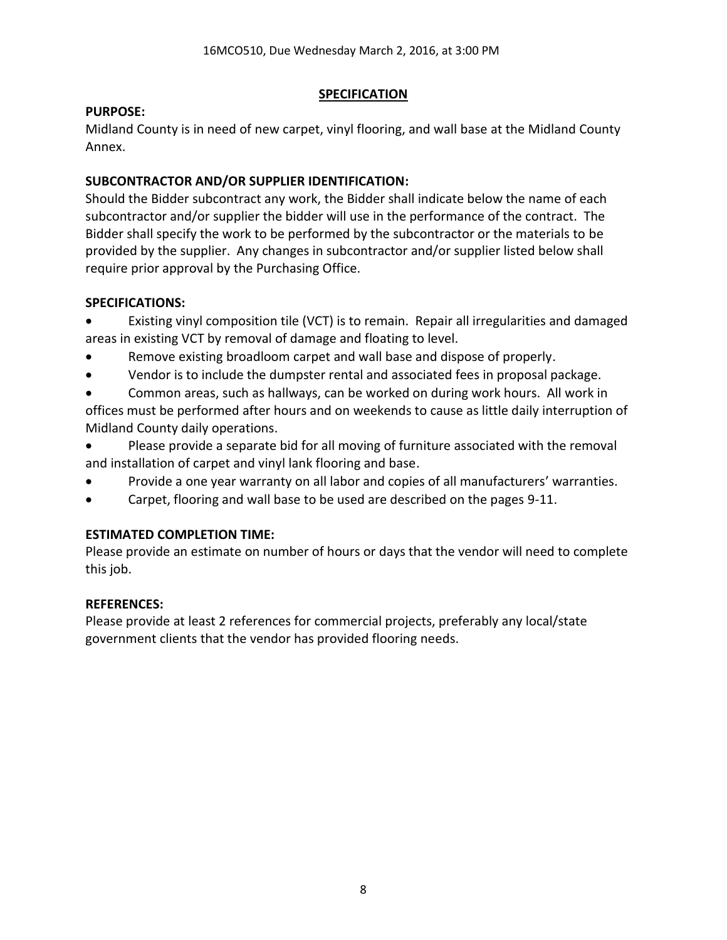### **SPECIFICATION**

### **PURPOSE:**

Midland County is in need of new carpet, vinyl flooring, and wall base at the Midland County Annex.

## **SUBCONTRACTOR AND/OR SUPPLIER IDENTIFICATION:**

Should the Bidder subcontract any work, the Bidder shall indicate below the name of each subcontractor and/or supplier the bidder will use in the performance of the contract. The Bidder shall specify the work to be performed by the subcontractor or the materials to be provided by the supplier. Any changes in subcontractor and/or supplier listed below shall require prior approval by the Purchasing Office.

## **SPECIFICATIONS:**

- Existing vinyl composition tile (VCT) is to remain. Repair all irregularities and damaged areas in existing VCT by removal of damage and floating to level.
- Remove existing broadloom carpet and wall base and dispose of properly.
- Vendor is to include the dumpster rental and associated fees in proposal package.
- Common areas, such as hallways, can be worked on during work hours. All work in offices must be performed after hours and on weekends to cause as little daily interruption of Midland County daily operations.
- Please provide a separate bid for all moving of furniture associated with the removal and installation of carpet and vinyl lank flooring and base.
- Provide a one year warranty on all labor and copies of all manufacturers' warranties.
- Carpet, flooring and wall base to be used are described on the pages 9-11.

# **ESTIMATED COMPLETION TIME:**

Please provide an estimate on number of hours or days that the vendor will need to complete this job.

## **REFERENCES:**

Please provide at least 2 references for commercial projects, preferably any local/state government clients that the vendor has provided flooring needs.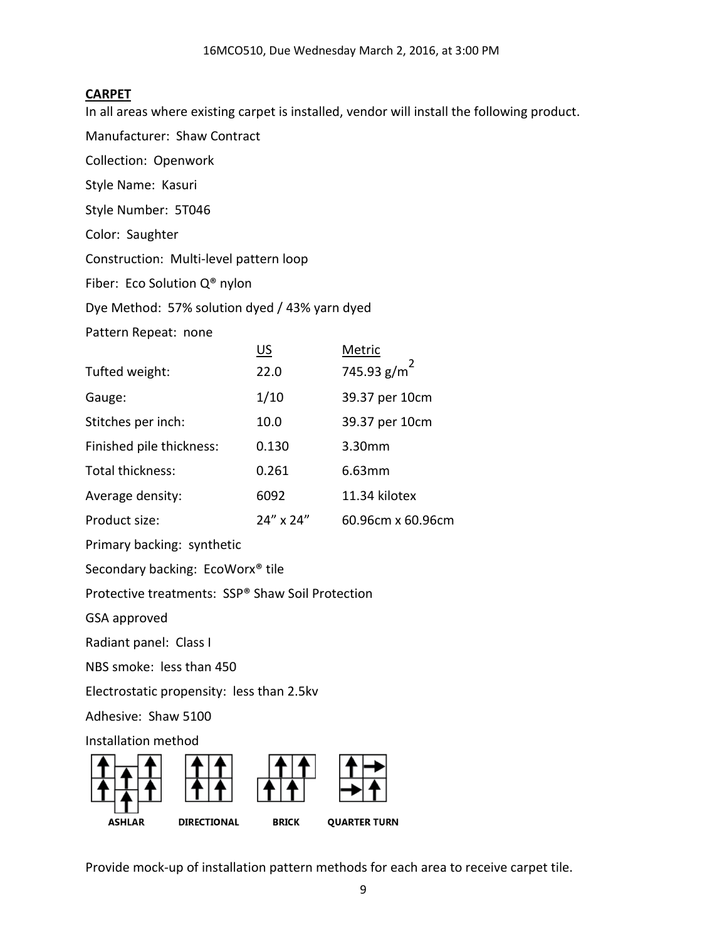### **CARPET**

In all areas where existing carpet is installed, vendor will install the following product.

Manufacturer: Shaw Contract

Collection: Openwork

Style Name: Kasuri

Style Number: 5T046

Color: Saughter

Construction: Multi-level pattern loop

Fiber: Eco Solution Q® nylon

Dye Method: 57% solution dyed / 43% yarn dyed

Pattern Repeat: none

|                          | US        | Metric             |
|--------------------------|-----------|--------------------|
| Tufted weight:           | 22.0      | 745.93 $g/m^2$     |
| Gauge:                   | 1/10      | 39.37 per 10cm     |
| Stitches per inch:       | 10.0      | 39.37 per 10cm     |
| Finished pile thickness: | 0.130     | 3.30 <sub>mm</sub> |
| Total thickness:         | 0.261     | 6.63mm             |
| Average density:         | 6092      | 11.34 kilotex      |
| Product size:            | 24" x 24" | 60.96cm x 60.96cm  |

Primary backing: synthetic

Secondary backing: EcoWorx® tile

Protective treatments: SSP® Shaw Soil Protection

GSA approved

Radiant panel: Class I

NBS smoke: less than 450

Electrostatic propensity: less than 2.5kv

Adhesive: Shaw 5100

Installation method



Provide mock-up of installation pattern methods for each area to receive carpet tile.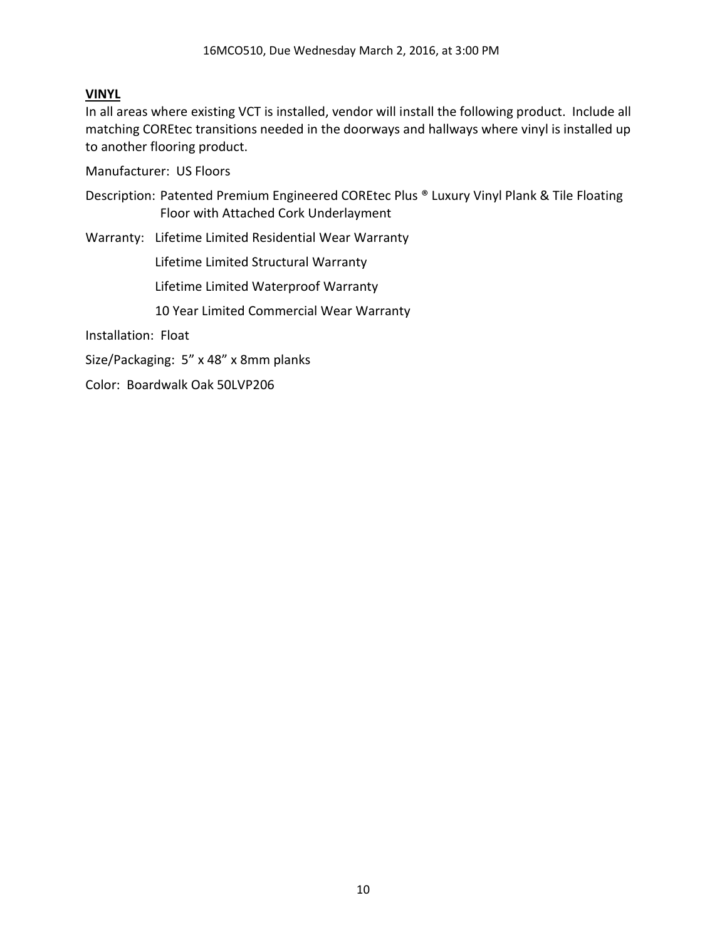### **VINYL**

In all areas where existing VCT is installed, vendor will install the following product. Include all matching COREtec transitions needed in the doorways and hallways where vinyl is installed up to another flooring product.

Manufacturer: US Floors

Description: Patented Premium Engineered COREtec Plus ® Luxury Vinyl Plank & Tile Floating Floor with Attached Cork Underlayment

Warranty: Lifetime Limited Residential Wear Warranty

Lifetime Limited Structural Warranty

Lifetime Limited Waterproof Warranty

10 Year Limited Commercial Wear Warranty

Installation: Float

Size/Packaging: 5" x 48" x 8mm planks

Color: Boardwalk Oak 50LVP206